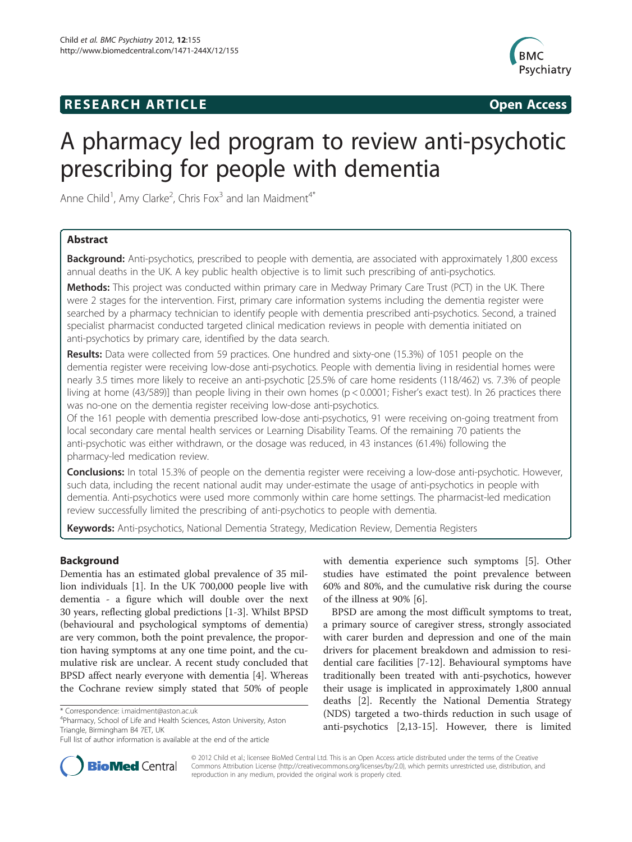# **RESEARCH ARTICLE Example 2014 The SEAR CH ACCESS**



# A pharmacy led program to review anti-psychotic prescribing for people with dementia

Anne Child<sup>1</sup>, Amy Clarke<sup>2</sup>, Chris Fox<sup>3</sup> and Ian Maidment<sup>4\*</sup>

# Abstract

**Background:** Anti-psychotics, prescribed to people with dementia, are associated with approximately 1,800 excess annual deaths in the UK. A key public health objective is to limit such prescribing of anti-psychotics.

Methods: This project was conducted within primary care in Medway Primary Care Trust (PCT) in the UK. There were 2 stages for the intervention. First, primary care information systems including the dementia register were searched by a pharmacy technician to identify people with dementia prescribed anti-psychotics. Second, a trained specialist pharmacist conducted targeted clinical medication reviews in people with dementia initiated on anti-psychotics by primary care, identified by the data search.

Results: Data were collected from 59 practices. One hundred and sixty-one (15.3%) of 1051 people on the dementia register were receiving low-dose anti-psychotics. People with dementia living in residential homes were nearly 3.5 times more likely to receive an anti-psychotic [25.5% of care home residents (118/462) vs. 7.3% of people living at home (43/589)] than people living in their own homes (p < 0.0001; Fisher's exact test). In 26 practices there was no-one on the dementia register receiving low-dose anti-psychotics.

Of the 161 people with dementia prescribed low-dose anti-psychotics, 91 were receiving on-going treatment from local secondary care mental health services or Learning Disability Teams. Of the remaining 70 patients the anti-psychotic was either withdrawn, or the dosage was reduced, in 43 instances (61.4%) following the pharmacy-led medication review.

**Conclusions:** In total 15.3% of people on the dementia register were receiving a low-dose anti-psychotic. However, such data, including the recent national audit may under-estimate the usage of anti-psychotics in people with dementia. Anti-psychotics were used more commonly within care home settings. The pharmacist-led medication review successfully limited the prescribing of anti-psychotics to people with dementia.

Keywords: Anti-psychotics, National Dementia Strategy, Medication Review, Dementia Registers

# Background

Dementia has an estimated global prevalence of 35 million individuals [\[1](#page-5-0)]. In the UK 700,000 people live with dementia - a figure which will double over the next 30 years, reflecting global predictions [\[1](#page-5-0)-[3\]](#page-5-0). Whilst BPSD (behavioural and psychological symptoms of dementia) are very common, both the point prevalence, the proportion having symptoms at any one time point, and the cumulative risk are unclear. A recent study concluded that BPSD affect nearly everyone with dementia [\[4](#page-5-0)]. Whereas the Cochrane review simply stated that 50% of people

<sup>4</sup>Pharmacy, School of Life and Health Sciences, Aston University, Aston Triangle, Birmingham B4 7ET, UK

with dementia experience such symptoms [\[5\]](#page-5-0). Other studies have estimated the point prevalence between 60% and 80%, and the cumulative risk during the course of the illness at 90% [[6\]](#page-5-0).

BPSD are among the most difficult symptoms to treat, a primary source of caregiver stress, strongly associated with carer burden and depression and one of the main drivers for placement breakdown and admission to residential care facilities [\[7](#page-5-0)-[12](#page-5-0)]. Behavioural symptoms have traditionally been treated with anti-psychotics, however their usage is implicated in approximately 1,800 annual deaths [[2\]](#page-5-0). Recently the National Dementia Strategy (NDS) targeted a two-thirds reduction in such usage of anti-psychotics [\[2,13](#page-5-0)-[15](#page-5-0)]. However, there is limited



© 2012 Child et al.; licensee BioMed Central Ltd. This is an Open Access article distributed under the terms of the Creative Commons Attribution License [\(http://creativecommons.org/licenses/by/2.0\)](http://creativecommons.org/licenses/by/2.0), which permits unrestricted use, distribution, and reproduction in any medium, provided the original work is properly cited.

<sup>\*</sup> Correspondence: [i.maidment@aston.ac.uk](mailto:i.maidment@aston.ac.uk) <sup>4</sup>

Full list of author information is available at the end of the article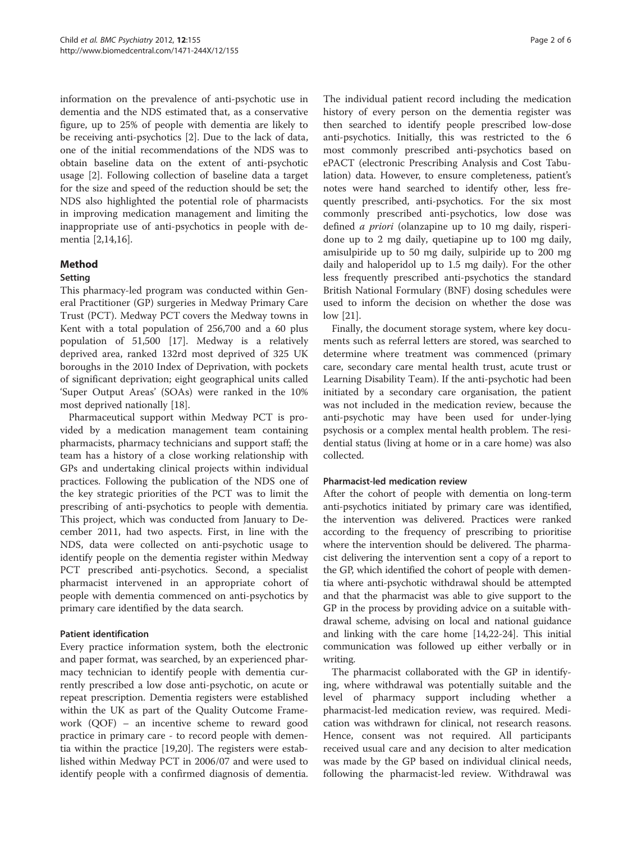information on the prevalence of anti-psychotic use in dementia and the NDS estimated that, as a conservative figure, up to 25% of people with dementia are likely to be receiving anti-psychotics [[2\]](#page-5-0). Due to the lack of data, one of the initial recommendations of the NDS was to obtain baseline data on the extent of anti-psychotic usage [\[2](#page-5-0)]. Following collection of baseline data a target for the size and speed of the reduction should be set; the NDS also highlighted the potential role of pharmacists in improving medication management and limiting the inappropriate use of anti-psychotics in people with dementia [[2,14,16\]](#page-5-0).

# Method

### Setting

This pharmacy-led program was conducted within General Practitioner (GP) surgeries in Medway Primary Care Trust (PCT). Medway PCT covers the Medway towns in Kent with a total population of 256,700 and a 60 plus population of 51,500 [\[17\]](#page-5-0). Medway is a relatively deprived area, ranked 132rd most deprived of 325 UK boroughs in the 2010 Index of Deprivation, with pockets of significant deprivation; eight geographical units called 'Super Output Areas' (SOAs) were ranked in the 10% most deprived nationally [\[18\]](#page-5-0).

Pharmaceutical support within Medway PCT is provided by a medication management team containing pharmacists, pharmacy technicians and support staff; the team has a history of a close working relationship with GPs and undertaking clinical projects within individual practices. Following the publication of the NDS one of the key strategic priorities of the PCT was to limit the prescribing of anti-psychotics to people with dementia. This project, which was conducted from January to December 2011, had two aspects. First, in line with the NDS, data were collected on anti-psychotic usage to identify people on the dementia register within Medway PCT prescribed anti-psychotics. Second, a specialist pharmacist intervened in an appropriate cohort of people with dementia commenced on anti-psychotics by primary care identified by the data search.

# Patient identification

Every practice information system, both the electronic and paper format, was searched, by an experienced pharmacy technician to identify people with dementia currently prescribed a low dose anti-psychotic, on acute or repeat prescription. Dementia registers were established within the UK as part of the Quality Outcome Framework (QOF) – an incentive scheme to reward good practice in primary care - to record people with dementia within the practice [\[19,20\]](#page-5-0). The registers were established within Medway PCT in 2006/07 and were used to identify people with a confirmed diagnosis of dementia.

The individual patient record including the medication history of every person on the dementia register was then searched to identify people prescribed low-dose anti-psychotics. Initially, this was restricted to the 6 most commonly prescribed anti-psychotics based on ePACT (electronic Prescribing Analysis and Cost Tabulation) data. However, to ensure completeness, patient's notes were hand searched to identify other, less frequently prescribed, anti-psychotics. For the six most commonly prescribed anti-psychotics, low dose was defined *a priori* (olanzapine up to 10 mg daily, risperidone up to 2 mg daily, quetiapine up to 100 mg daily, amisulpiride up to 50 mg daily, sulpiride up to 200 mg daily and haloperidol up to 1.5 mg daily). For the other less frequently prescribed anti-psychotics the standard British National Formulary (BNF) dosing schedules were used to inform the decision on whether the dose was low [\[21](#page-5-0)].

Finally, the document storage system, where key documents such as referral letters are stored, was searched to determine where treatment was commenced (primary care, secondary care mental health trust, acute trust or Learning Disability Team). If the anti-psychotic had been initiated by a secondary care organisation, the patient was not included in the medication review, because the anti-psychotic may have been used for under-lying psychosis or a complex mental health problem. The residential status (living at home or in a care home) was also collected.

#### Pharmacist-led medication review

After the cohort of people with dementia on long-term anti-psychotics initiated by primary care was identified, the intervention was delivered. Practices were ranked according to the frequency of prescribing to prioritise where the intervention should be delivered. The pharmacist delivering the intervention sent a copy of a report to the GP, which identified the cohort of people with dementia where anti-psychotic withdrawal should be attempted and that the pharmacist was able to give support to the GP in the process by providing advice on a suitable withdrawal scheme, advising on local and national guidance and linking with the care home [[14](#page-5-0),[22](#page-5-0)-[24](#page-5-0)]. This initial communication was followed up either verbally or in writing.

The pharmacist collaborated with the GP in identifying, where withdrawal was potentially suitable and the level of pharmacy support including whether a pharmacist-led medication review, was required. Medication was withdrawn for clinical, not research reasons. Hence, consent was not required. All participants received usual care and any decision to alter medication was made by the GP based on individual clinical needs, following the pharmacist-led review. Withdrawal was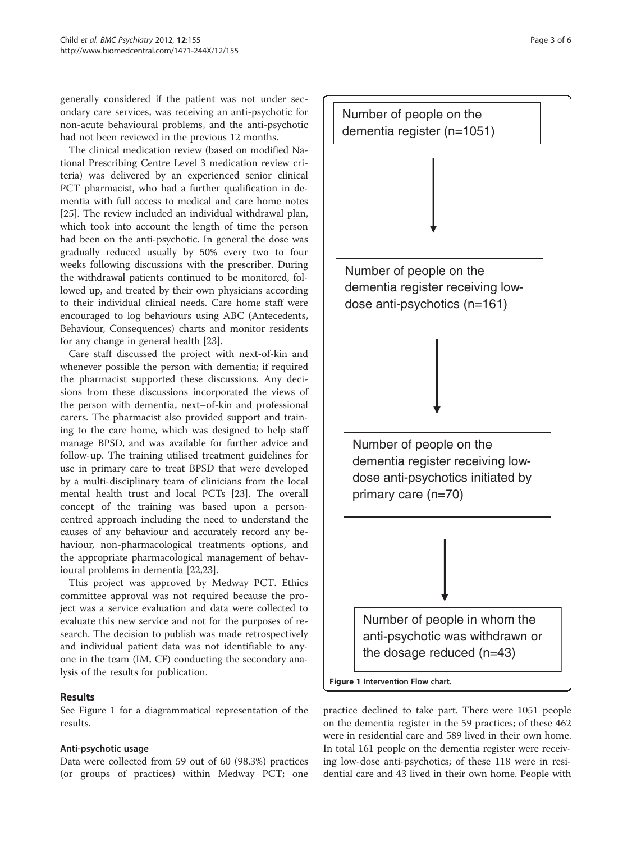generally considered if the patient was not under secondary care services, was receiving an anti-psychotic for non-acute behavioural problems, and the anti-psychotic had not been reviewed in the previous 12 months.

The clinical medication review (based on modified National Prescribing Centre Level 3 medication review criteria) was delivered by an experienced senior clinical PCT pharmacist, who had a further qualification in dementia with full access to medical and care home notes [[25\]](#page-5-0). The review included an individual withdrawal plan, which took into account the length of time the person had been on the anti-psychotic. In general the dose was gradually reduced usually by 50% every two to four weeks following discussions with the prescriber. During the withdrawal patients continued to be monitored, followed up, and treated by their own physicians according to their individual clinical needs. Care home staff were encouraged to log behaviours using ABC (Antecedents, Behaviour, Consequences) charts and monitor residents for any change in general health [[23](#page-5-0)].

Care staff discussed the project with next-of-kin and whenever possible the person with dementia; if required the pharmacist supported these discussions. Any decisions from these discussions incorporated the views of the person with dementia, next–of-kin and professional carers. The pharmacist also provided support and training to the care home, which was designed to help staff manage BPSD, and was available for further advice and follow-up. The training utilised treatment guidelines for use in primary care to treat BPSD that were developed by a multi-disciplinary team of clinicians from the local mental health trust and local PCTs [\[23\]](#page-5-0). The overall concept of the training was based upon a personcentred approach including the need to understand the causes of any behaviour and accurately record any behaviour, non-pharmacological treatments options, and the appropriate pharmacological management of behavioural problems in dementia [[22,23\]](#page-5-0).

This project was approved by Medway PCT. Ethics committee approval was not required because the project was a service evaluation and data were collected to evaluate this new service and not for the purposes of research. The decision to publish was made retrospectively and individual patient data was not identifiable to anyone in the team (IM, CF) conducting the secondary analysis of the results for publication.

# Results

See Figure 1 for a diagrammatical representation of the results.

# Anti-psychotic usage

Data were collected from 59 out of 60 (98.3%) practices (or groups of practices) within Medway PCT; one



practice declined to take part. There were 1051 people on the dementia register in the 59 practices; of these 462 were in residential care and 589 lived in their own home. In total 161 people on the dementia register were receiving low-dose anti-psychotics; of these 118 were in residential care and 43 lived in their own home. People with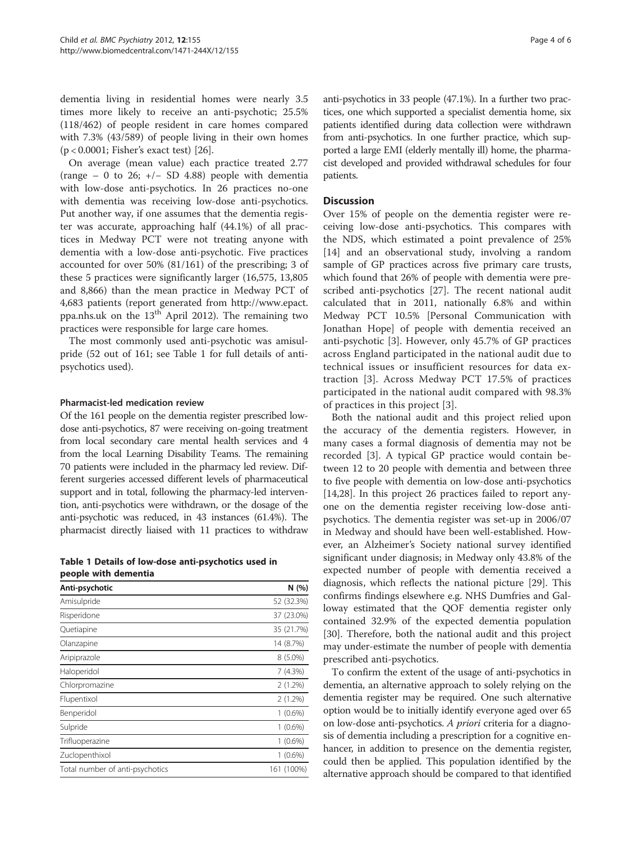dementia living in residential homes were nearly 3.5 times more likely to receive an anti-psychotic; 25.5% (118/462) of people resident in care homes compared with 7.3% (43/589) of people living in their own homes (p < 0.0001; Fisher's exact test) [\[26](#page-5-0)].

On average (mean value) each practice treated 2.77 (range – 0 to 26;  $+/-$  SD 4.88) people with dementia with low-dose anti-psychotics. In 26 practices no-one with dementia was receiving low-dose anti-psychotics. Put another way, if one assumes that the dementia register was accurate, approaching half (44.1%) of all practices in Medway PCT were not treating anyone with dementia with a low-dose anti-psychotic. Five practices accounted for over 50% (81/161) of the prescribing; 3 of these 5 practices were significantly larger (16,575, 13,805 and 8,866) than the mean practice in Medway PCT of 4,683 patients (report generated from [http://www.epact.](http://www.epact.ppa.nhs.uk) [ppa.nhs.uk](http://www.epact.ppa.nhs.uk) on the  $13<sup>th</sup>$  April 2012). The remaining two practices were responsible for large care homes.

The most commonly used anti-psychotic was amisulpride (52 out of 161; see Table 1 for full details of antipsychotics used).

### Pharmacist-led medication review

Of the 161 people on the dementia register prescribed lowdose anti-psychotics, 87 were receiving on-going treatment from local secondary care mental health services and 4 from the local Learning Disability Teams. The remaining 70 patients were included in the pharmacy led review. Different surgeries accessed different levels of pharmaceutical support and in total, following the pharmacy-led intervention, anti-psychotics were withdrawn, or the dosage of the anti-psychotic was reduced, in 43 instances (61.4%). The pharmacist directly liaised with 11 practices to withdraw

Table 1 Details of low-dose anti-psychotics used in people with dementia

| Anti-psychotic                  | N(%)       |
|---------------------------------|------------|
| Amisulpride                     | 52 (32.3%) |
| Risperidone                     | 37 (23.0%) |
| Quetiapine                      | 35 (21.7%) |
| Olanzapine                      | 14 (8.7%)  |
| Aripiprazole                    | $8(5.0\%)$ |
| Haloperidol                     | 7(4.3%)    |
| Chlorpromazine                  | $2(1.2\%)$ |
| Flupentixol                     | $2(1.2\%)$ |
| Benperidol                      | $1(0.6\%)$ |
| Sulpride                        | $1(0.6\%)$ |
| Trifluoperazine                 | $1(0.6\%)$ |
| Zuclopenthixol                  | $1(0.6\%)$ |
| Total number of anti-psychotics | 161 (100%) |

anti-psychotics in 33 people (47.1%). In a further two practices, one which supported a specialist dementia home, six patients identified during data collection were withdrawn from anti-psychotics. In one further practice, which supported a large EMI (elderly mentally ill) home, the pharmacist developed and provided withdrawal schedules for four patients.

### **Discussion**

Over 15% of people on the dementia register were receiving low-dose anti-psychotics. This compares with the NDS, which estimated a point prevalence of 25% [[14\]](#page-5-0) and an observational study, involving a random sample of GP practices across five primary care trusts, which found that 26% of people with dementia were prescribed anti-psychotics [\[27\]](#page-5-0). The recent national audit calculated that in 2011, nationally 6.8% and within Medway PCT 10.5% [Personal Communication with Jonathan Hope] of people with dementia received an anti-psychotic [[3\]](#page-5-0). However, only 45.7% of GP practices across England participated in the national audit due to technical issues or insufficient resources for data extraction [[3](#page-5-0)]. Across Medway PCT 17.5% of practices participated in the national audit compared with 98.3% of practices in this project [\[3](#page-5-0)].

Both the national audit and this project relied upon the accuracy of the dementia registers. However, in many cases a formal diagnosis of dementia may not be recorded [[3\]](#page-5-0). A typical GP practice would contain between 12 to 20 people with dementia and between three to five people with dementia on low-dose anti-psychotics [[14,28\]](#page-5-0). In this project 26 practices failed to report anyone on the dementia register receiving low-dose antipsychotics. The dementia register was set-up in 2006/07 in Medway and should have been well-established. However, an Alzheimer's Society national survey identified significant under diagnosis; in Medway only 43.8% of the expected number of people with dementia received a diagnosis, which reflects the national picture [\[29](#page-5-0)]. This confirms findings elsewhere e.g. NHS Dumfries and Galloway estimated that the QOF dementia register only contained 32.9% of the expected dementia population [[30\]](#page-5-0). Therefore, both the national audit and this project may under-estimate the number of people with dementia prescribed anti-psychotics.

To confirm the extent of the usage of anti-psychotics in dementia, an alternative approach to solely relying on the dementia register may be required. One such alternative option would be to initially identify everyone aged over 65 on low-dose anti-psychotics. A priori criteria for a diagnosis of dementia including a prescription for a cognitive enhancer, in addition to presence on the dementia register, could then be applied. This population identified by the alternative approach should be compared to that identified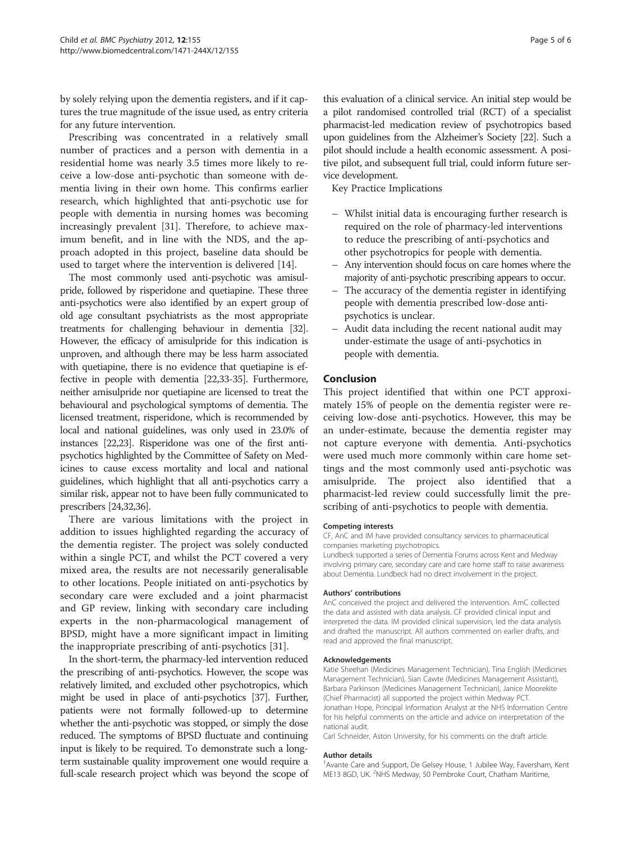by solely relying upon the dementia registers, and if it captures the true magnitude of the issue used, as entry criteria for any future intervention.

Prescribing was concentrated in a relatively small number of practices and a person with dementia in a residential home was nearly 3.5 times more likely to receive a low-dose anti-psychotic than someone with dementia living in their own home. This confirms earlier research, which highlighted that anti-psychotic use for people with dementia in nursing homes was becoming increasingly prevalent [\[31](#page-5-0)]. Therefore, to achieve maximum benefit, and in line with the NDS, and the approach adopted in this project, baseline data should be used to target where the intervention is delivered [[14\]](#page-5-0).

The most commonly used anti-psychotic was amisulpride, followed by risperidone and quetiapine. These three anti-psychotics were also identified by an expert group of old age consultant psychiatrists as the most appropriate treatments for challenging behaviour in dementia [\[32](#page-5-0)]. However, the efficacy of amisulpride for this indication is unproven, and although there may be less harm associated with quetiapine, there is no evidence that quetiapine is effective in people with dementia [\[22,33-35\]](#page-5-0). Furthermore, neither amisulpride nor quetiapine are licensed to treat the behavioural and psychological symptoms of dementia. The licensed treatment, risperidone, which is recommended by local and national guidelines, was only used in 23.0% of instances [\[22,23](#page-5-0)]. Risperidone was one of the first antipsychotics highlighted by the Committee of Safety on Medicines to cause excess mortality and local and national guidelines, which highlight that all anti-psychotics carry a similar risk, appear not to have been fully communicated to prescribers [\[24,32,36](#page-5-0)].

There are various limitations with the project in addition to issues highlighted regarding the accuracy of the dementia register. The project was solely conducted within a single PCT, and whilst the PCT covered a very mixed area, the results are not necessarily generalisable to other locations. People initiated on anti-psychotics by secondary care were excluded and a joint pharmacist and GP review, linking with secondary care including experts in the non-pharmacological management of BPSD, might have a more significant impact in limiting the inappropriate prescribing of anti-psychotics [\[31\]](#page-5-0).

In the short-term, the pharmacy-led intervention reduced the prescribing of anti-psychotics. However, the scope was relatively limited, and excluded other psychotropics, which might be used in place of anti-psychotics [\[37\]](#page-5-0). Further, patients were not formally followed-up to determine whether the anti-psychotic was stopped, or simply the dose reduced. The symptoms of BPSD fluctuate and continuing input is likely to be required. To demonstrate such a longterm sustainable quality improvement one would require a full-scale research project which was beyond the scope of this evaluation of a clinical service. An initial step would be a pilot randomised controlled trial (RCT) of a specialist pharmacist-led medication review of psychotropics based upon guidelines from the Alzheimer's Society [\[22\]](#page-5-0). Such a pilot should include a health economic assessment. A positive pilot, and subsequent full trial, could inform future service development.

Key Practice Implications

- Whilst initial data is encouraging further research is required on the role of pharmacy-led interventions to reduce the prescribing of anti-psychotics and other psychotropics for people with dementia.
- Any intervention should focus on care homes where the majority of anti-psychotic prescribing appears to occur.
- The accuracy of the dementia register in identifying people with dementia prescribed low-dose antipsychotics is unclear.
- Audit data including the recent national audit may under-estimate the usage of anti-psychotics in people with dementia.

### Conclusion

This project identified that within one PCT approximately 15% of people on the dementia register were receiving low-dose anti-psychotics. However, this may be an under-estimate, because the dementia register may not capture everyone with dementia. Anti-psychotics were used much more commonly within care home settings and the most commonly used anti-psychotic was amisulpride. The project also identified that a pharmacist-led review could successfully limit the prescribing of anti-psychotics to people with dementia.

#### Competing interests

CF, AnC and IM have provided consultancy services to pharmaceutical companies marketing psychotropics.

Lundbeck supported a series of Dementia Forums across Kent and Medway involving primary care, secondary care and care home staff to raise awareness about Dementia. Lundbeck had no direct involvement in the project.

#### Authors' contributions

AnC conceived the project and delivered the intervention. AmC collected the data and assisted with data analysis. CF provided clinical input and interpreted the data. IM provided clinical supervision, led the data analysis and drafted the manuscript. All authors commented on earlier drafts, and read and approved the final manuscript.

#### Acknowledgements

Katie Sheehan (Medicines Management Technician), Tina English (Medicines Management Technician), Sian Cawte (Medicines Management Assistant), Barbara Parkinson (Medicines Management Technician), Janice Moorekite (Chief Pharmacist) all supported the project within Medway PCT. Jonathan Hope, Principal Information Analyst at the NHS Information Centre for his helpful comments on the article and advice on interpretation of the national audit.

Carl Schneider, Aston University, for his comments on the draft article.

#### Author details

<sup>1</sup> Avante Care and Support, De Gelsey House, 1 Jubilee Way, Faversham, Kent ME13 8GD, UK. <sup>2</sup>NHS Medway, 50 Pembroke Court, Chatham Maritime,